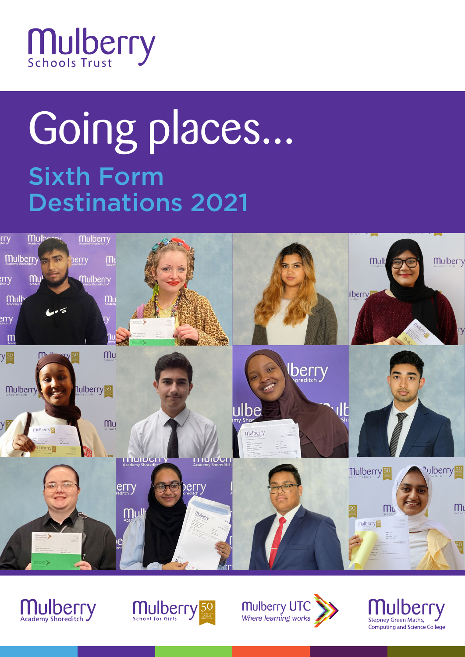

# Sixth Form Destinations 2021 Going places...







Mulberry UTC<br>Where learning works

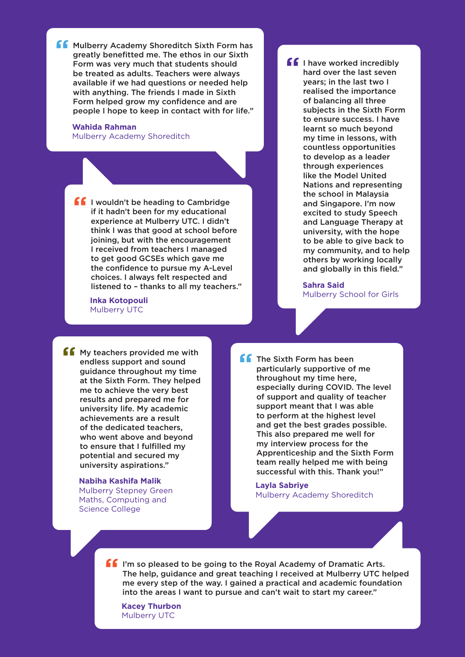**f** Mulberry Academy Shoreditch Sixth Form has greatly benefitted me. The ethos in our Sixth Form was very much that students should be treated as adults. Teachers were always available if we had questions or needed help with anything. The friends I made in Sixth Form helped grow my confidence and are people I hope to keep in contact with for life."

**Wahida Rahman** Mulberry Academy Shoreditch

**I** I wouldn't be heading to Cambridge if it hadn't been for my educational experience at Mulberry UTC. I didn't think I was that good at school before joining, but with the encouragement I received from teachers I managed to get good GCSEs which gave me the confidence to pursue my A-Level choices. I always felt respected and listened to – thanks to all my teachers."

**Inka Kotopouli** Mulberry UTC

**ff** I have worked incredibly hard over the last seven years; in the last two I realised the importance of balancing all three subjects in the Sixth Form to ensure success. I have learnt so much beyond my time in lessons, with countless opportunities to develop as a leader through experiences like the Model United Nations and representing the school in Malaysia and Singapore. I'm now excited to study Speech and Language Therapy at university, with the hope to be able to give back to my community, and to help others by working locally and globally in this field."

> **Sahra Said** Mulberry School for Girls

**f** My teachers provided me with endless support and sound guidance throughout my time at the Sixth Form. They helped me to achieve the very best results and prepared me for university life. My academic achievements are a result of the dedicated teachers, who went above and beyond to ensure that I fulfilled my potential and secured my university aspirations."

> **Nabiha Kashifa Malik** Mulberry Stepney Green Maths, Computing and Science College

**ff** The Sixth Form has been particularly supportive of me throughout my time here, especially during COVID. The level of support and quality of teacher support meant that I was able to perform at the highest level and get the best grades possible. This also prepared me well for my interview process for the Apprenticeship and the Sixth Form team really helped me with being successful with this. Thank you!"

**Layla Sabriye** Mulberry Academy Shoreditch

If I'm so pleased to be going to the Royal Academy of Dramatic Arts. The help, guidance and great teaching I received at Mulberry UTC helped me every step of the way. I gained a practical and academic foundation into the areas I want to pursue and can't wait to start my career."

**Kacey Thurbon** Mulberry UTC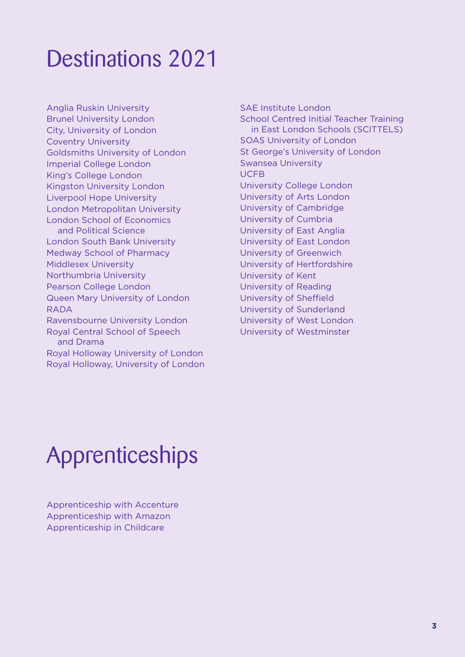# Destinations 2021

Anglia Ruskin University Brunel University London City, University of London Coventry University Goldsmiths University of London Imperial College London King's College London Kingston University London Liverpool Hope University London Metropolitan University London School of Economics and Political Science London South Bank University Medway School of Pharmacy Middlesex University Northumbria University Pearson College London Queen Mary University of London RADA Ravensbourne University London Royal Central School of Speech and Drama Royal Holloway University of London Royal Holloway, University of London SAE Institute London School Centred Initial Teacher Training in East London Schools (SCITTELS) SOAS University of London St George's University of London Swansea University UCFB University College London University of Arts London University of Cambridge University of Cumbria University of East Anglia University of East London University of Greenwich University of Hertfordshire University of Kent University of Reading University of Sheffield University of Sunderland University of West London University of Westminster

# Apprenticeships

Apprenticeship with Accenture Apprenticeship with Amazon Apprenticeship in Childcare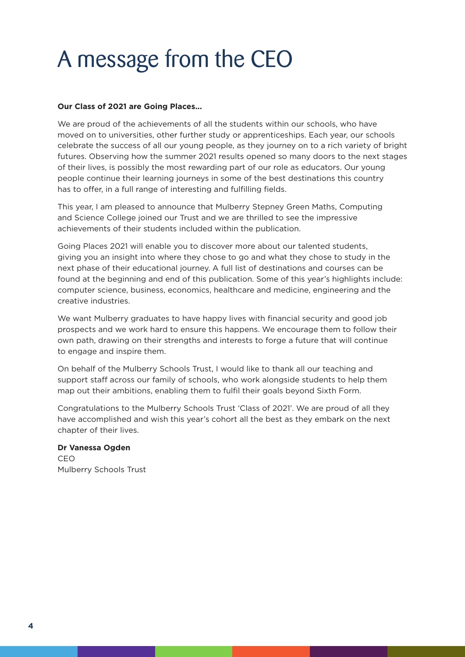# A message from the CEO

#### **Our Class of 2021 are Going Places...**

We are proud of the achievements of all the students within our schools, who have moved on to universities, other further study or apprenticeships. Each year, our schools celebrate the success of all our young people, as they journey on to a rich variety of bright futures. Observing how the summer 2021 results opened so many doors to the next stages of their lives, is possibly the most rewarding part of our role as educators. Our young people continue their learning journeys in some of the best destinations this country has to offer, in a full range of interesting and fulfilling fields.

This year, I am pleased to announce that Mulberry Stepney Green Maths, Computing and Science College joined our Trust and we are thrilled to see the impressive achievements of their students included within the publication.

Going Places 2021 will enable you to discover more about our talented students, giving you an insight into where they chose to go and what they chose to study in the next phase of their educational journey. A full list of destinations and courses can be found at the beginning and end of this publication. Some of this year's highlights include: computer science, business, economics, healthcare and medicine, engineering and the creative industries.

We want Mulberry graduates to have happy lives with financial security and good job prospects and we work hard to ensure this happens. We encourage them to follow their own path, drawing on their strengths and interests to forge a future that will continue to engage and inspire them.

On behalf of the Mulberry Schools Trust, I would like to thank all our teaching and support staff across our family of schools, who work alongside students to help them map out their ambitions, enabling them to fulfil their goals beyond Sixth Form.

Congratulations to the Mulberry Schools Trust 'Class of 2021'. We are proud of all they have accomplished and wish this year's cohort all the best as they embark on the next chapter of their lives.

#### **Dr Vanessa Ogden**

CEO Mulberry Schools Trust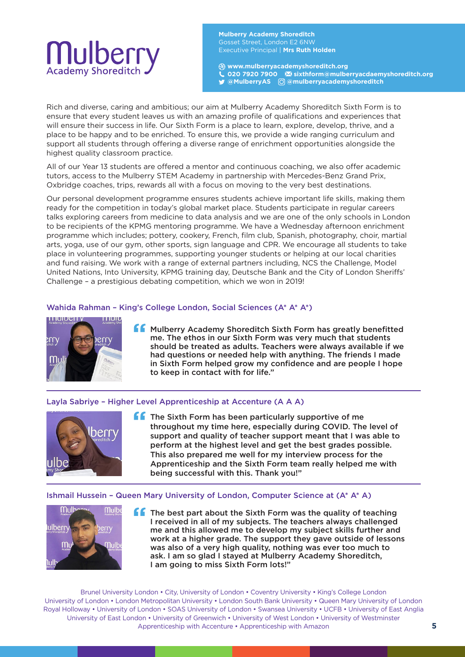### Mulberry **Academy Shoreditch**

**Mulberry Academy Shoreditch** Gosset Street, London E2 6NW Executive Principal | **Mrs Ruth Holden**

**www.mulberryacademyshoreditch.org 020 7920 7900 sixthform@mulberryacdaemyshoreditch.org @MulberryAS @mulberryacademyshoreditch** 

Rich and diverse, caring and ambitious; our aim at Mulberry Academy Shoreditch Sixth Form is to ensure that every student leaves us with an amazing profile of qualifications and experiences that will ensure their success in life. Our Sixth Form is a place to learn, explore, develop, thrive, and a place to be happy and to be enriched. To ensure this, we provide a wide ranging curriculum and support all students through offering a diverse range of enrichment opportunities alongside the highest quality classroom practice.

All of our Year 13 students are offered a mentor and continuous coaching, we also offer academic tutors, access to the Mulberry STEM Academy in partnership with Mercedes-Benz Grand Prix, Oxbridge coaches, trips, rewards all with a focus on moving to the very best destinations.

Our personal development programme ensures students achieve important life skills, making them ready for the competition in today's global market place. Students participate in regular careers talks exploring careers from medicine to data analysis and we are one of the only schools in London to be recipients of the KPMG mentoring programme. We have a Wednesday afternoon enrichment programme which includes; pottery, cookery, French, film club, Spanish, photography, choir, martial arts, yoga, use of our gym, other sports, sign language and CPR. We encourage all students to take place in volunteering programmes, supporting younger students or helping at our local charities and fund raising. We work with a range of external partners including, NCS the Challenge, Model United Nations, Into University, KPMG training day, Deutsche Bank and the City of London Sheriffs' Challenge – a prestigious debating competition, which we won in 2019!

#### Wahida Rahman – King's College London, Social Sciences (A\* A\* A\*)



**f** Mulberry Academy Shoreditch Sixth Form has greatly benefitted me. The ethos in our Sixth Form was very much that students should be treated as adults. Teachers were always available if we had questions or needed help with anything. The friends I made in Sixth Form helped grow my confidence and are people I hope to keep in contact with for life."

#### Layla Sabriye – Higher Level Apprenticeship at Accenture (A A A)



**f** The Sixth Form has been particularly supportive of me throughout my time here, especially during COVID. The level of support and quality of teacher support meant that I was able to perform at the highest level and get the best grades possible. This also prepared me well for my interview process for the Apprenticeship and the Sixth Form team really helped me with being successful with this. Thank you!"

#### Ishmail Hussein – Queen Mary University of London, Computer Science at (A\* A\* A)



**f** The best part about the Sixth Form was the quality of teaching I received in all of my subjects. The teachers always challenged me and this allowed me to develop my subject skills further and work at a higher grade. The support they gave outside of lessons was also of a very high quality, nothing was ever too much to ask. I am so glad I stayed at Mulberry Academy Shoreditch, I am going to miss Sixth Form lots!"

Brunel University London • City, University of London • Coventry University • King's College London University of London • London Metropolitan University • London South Bank University • Queen Mary University of London Royal Holloway • University of London • SOAS University of London • Swansea University • UCFB • University of East Anglia University of East London • University of Greenwich • University of West London • University of Westminster Apprenticeship with Accenture • Apprenticeship with Amazon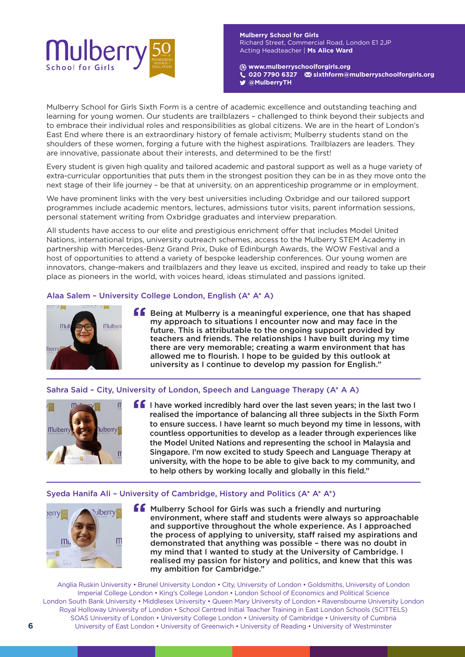

**Mulberry School for Girls** Richard Street, Commercial Road, London E1 2JP Acting Headteacher | **Ms Alice Ward**

**www.mulberryschoolforgirls.org** 

**020 7790 6327 sixthform@mulberryschoolforgirls.org** 

**@MulberryTH** 

Mulberry School for Girls Sixth Form is a centre of academic excellence and outstanding teaching and learning for young women. Our students are trailblazers – challenged to think beyond their subjects and to embrace their individual roles and responsibilities as global citizens. We are in the heart of London's East End where there is an extraordinary history of female activism; Mulberry students stand on the shoulders of these women, forging a future with the highest aspirations. Trailblazers are leaders. They are innovative, passionate about their interests, and determined to be the first!

Every student is given high quality and tailored academic and pastoral support as well as a huge variety of extra-curricular opportunities that puts them in the strongest position they can be in as they move onto the next stage of their life journey – be that at university, on an apprenticeship programme or in employment.

We have prominent links with the very best universities including Oxbridge and our tailored support programmes include academic mentors, lectures, admissions tutor visits, parent information sessions, personal statement writing from Oxbridge graduates and interview preparation.

All students have access to our elite and prestigious enrichment offer that includes Model United Nations, international trips, university outreach schemes, access to the Mulberry STEM Academy in partnership with Mercedes-Benz Grand Prix, Duke of Edinburgh Awards, the WOW Festival and a host of opportunities to attend a variety of bespoke leadership conferences. Our young women are innovators, change-makers and trailblazers and they leave us excited, inspired and ready to take up their place as pioneers in the world, with voices heard, ideas stimulated and passions ignited.

#### Alaa Salem – University College London, English (A\* A\* A)



**f** Being at Mulberry is a meaningful experience, one that has shaped my approach to situations I encounter now and may face in the future. This is attributable to the ongoing support provided by teachers and friends. The relationships I have built during my time there are very memorable; creating a warm environment that has allowed me to flourish. I hope to be guided by this outlook at university as I continue to develop my passion for English."

#### Sahra Said – City, University of London, Speech and Language Therapy (A\* A A)



**I** I have worked incredibly hard over the last seven years; in the last two I realised the importance of balancing all three subjects in the Sixth Form to ensure success. I have learnt so much beyond my time in lessons, with countless opportunities to develop as a leader through experiences like the Model United Nations and representing the school in Malaysia and Singapore. I'm now excited to study Speech and Language Therapy at university, with the hope to be able to give back to my community, and to help others by working locally and globally in this field."

#### Syeda Hanifa Ali – University of Cambridge, History and Politics (A\* A\* A\*)



**ff** Mulberry School for Girls was such a friendly and nurturing environment, where staff and students were always so approachable and supportive throughout the whole experience. As I approached the process of applying to university, staff raised my aspirations and demonstrated that anything was possible – there was no doubt in my mind that I wanted to study at the University of Cambridge. I realised my passion for history and politics, and knew that this was my ambition for Cambridge."

Anglia Ruskin University • Brunel University London • City, University of London • Goldsmiths, University of London Imperial College London • King's College London • London School of Economics and Political Science London South Bank University • Middlesex University • Queen Mary University of London • Ravensbourne University London Royal Holloway University of London • School Centred Initial Teacher Training in East London Schools (SCITTELS) SOAS University of London • University College London • University of Cambridge • University of Cumbria University of East London • University of Greenwich • University of Reading • University of Westminster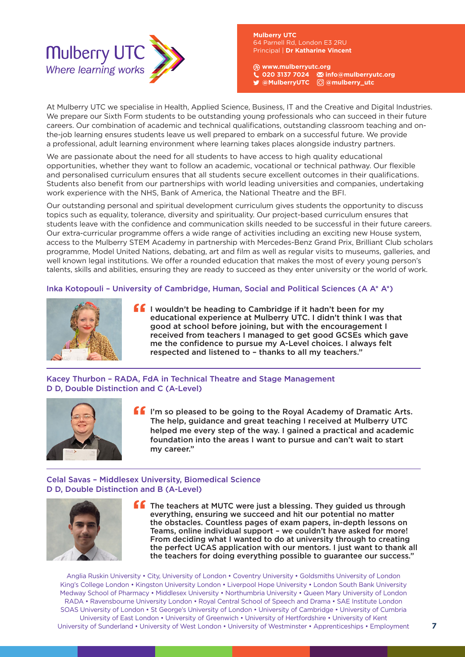

**Mulberry UTC**  Principal | **Dr Katharine Vincent**

**www.mulberryutc.org 020 3137 7024 info@mulberryutc.org @MulberryUTC @mulberry\_utc** 

At Mulberry UTC we specialise in Health, Applied Science, Business, IT and the Creative and Digital Industries. We prepare our Sixth Form students to be outstanding young professionals who can succeed in their future careers. Our combination of academic and technical qualifications, outstanding classroom teaching and onthe-job learning ensures students leave us well prepared to embark on a successful future. We provide a professional, adult learning environment where learning takes places alongside industry partners.

We are passionate about the need for all students to have access to high quality educational opportunities, whether they want to follow an academic, vocational or technical pathway. Our flexible and personalised curriculum ensures that all students secure excellent outcomes in their qualifications. Students also benefit from our partnerships with world leading universities and companies, undertaking work experience with the NHS, Bank of America, the National Theatre and the BFI.

Our outstanding personal and spiritual development curriculum gives students the opportunity to discuss topics such as equality, tolerance, diversity and spirituality. Our project-based curriculum ensures that students leave with the confidence and communication skills needed to be successful in their future careers. Our extra-curricular programme offers a wide range of activities including an exciting new House system, access to the Mulberry STEM Academy in partnership with Mercedes-Benz Grand Prix, Brilliant Club scholars programme, Model United Nations, debating, art and film as well as regular visits to museums, galleries, and well known legal institutions. We offer a rounded education that makes the most of every young person's talents, skills and abilities, ensuring they are ready to succeed as they enter university or the world of work.

#### Inka Kotopouli – University of Cambridge, Human, Social and Political Sciences (A A\* A\*)



**If** I wouldn't be heading to Cambridge if it hadn't been for my educational experience at Mulberry UTC. I didn't think I was that good at school before joining, but with the encouragement I received from teachers I managed to get good GCSEs which gave me the confidence to pursue my A-Level choices. I always felt respected and listened to – thanks to all my teachers."

Kacey Thurbon – RADA, FdA in Technical Theatre and Stage Management D D, Double Distinction and C (A-Level)



If I'm so pleased to be going to the Royal Academy of Dramatic Arts. The help, guidance and great teaching I received at Mulberry UTC helped me every step of the way. I gained a practical and academic foundation into the areas I want to pursue and can't wait to start my career."

#### Celal Savas – Middlesex University, Biomedical Science D D, Double Distinction and B (A-Level)



**The teachers at MUTC were just a blessing. They guided us through** everything, ensuring we succeed and hit our potential no matter the obstacles. Countless pages of exam papers, in-depth lessons on Teams, online individual support – we couldn't have asked for more! From deciding what I wanted to do at university through to creating the perfect UCAS application with our mentors. I just want to thank all the teachers for doing everything possible to guarantee our success."

Anglia Ruskin University • City, University of London • Coventry University • Goldsmiths University of London King's College London • Kingston University London • Liverpool Hope University • London South Bank University Medway School of Pharmacy • Middlesex University • Northumbria University • Queen Mary University of London RADA • Ravensbourne University London • Royal Central School of Speech and Drama • SAE Institute London SOAS University of London • St George's University of London • University of Cambridge • University of Cumbria University of East London • University of Greenwich • University of Hertfordshire • University of Kent University of Sunderland • University of West London • University of Westminster • Apprenticeships • Employment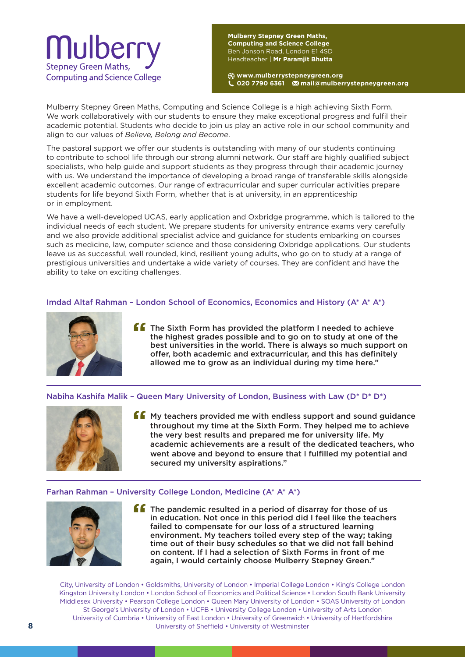

**Mulberry Stepney Green Maths, Computing and Science College** Ben Jonson Road, London E1 4SD Headteacher | **Mr Paramjit Bhutta**

**www.mulberrystepneygreen.org 020 7790 6361 mail@mulberrystepneygreen.org**

Mulberry Stepney Green Maths, Computing and Science College is a high achieving Sixth Form. We work collaboratively with our students to ensure they make exceptional progress and fulfil their academic potential. Students who decide to join us play an active role in our school community and align to our values of *Believe, Belong and Become*.

The pastoral support we offer our students is outstanding with many of our students continuing to contribute to school life through our strong alumni network. Our staff are highly qualified subject specialists, who help guide and support students as they progress through their academic journey with us. We understand the importance of developing a broad range of transferable skills alongside excellent academic outcomes. Our range of extracurricular and super curricular activities prepare students for life beyond Sixth Form, whether that is at university, in an apprenticeship or in employment.

We have a well-developed UCAS, early application and Oxbridge programme, which is tailored to the individual needs of each student. We prepare students for university entrance exams very carefully and we also provide additional specialist advice and guidance for students embarking on courses such as medicine, law, computer science and those considering Oxbridge applications. Our students leave us as successful, well rounded, kind, resilient young adults, who go on to study at a range of prestigious universities and undertake a wide variety of courses. They are confident and have the ability to take on exciting challenges.

#### Imdad Altaf Rahman – London School of Economics, Economics and History (A\* A\* A\*)



**ff** The Sixth Form has provided the platform I needed to achieve the highest grades possible and to go on to study at one of the best universities in the world. There is always so much support on offer, both academic and extracurricular, and this has definitely allowed me to grow as an individual during my time here."

#### Nabiha Kashifa Malik – Queen Mary University of London, Business with Law (D\* D\* D\*)



**f** My teachers provided me with endless support and sound guidance throughout my time at the Sixth Form. They helped me to achieve the very best results and prepared me for university life. My academic achievements are a result of the dedicated teachers, who went above and beyond to ensure that I fulfilled my potential and secured my university aspirations."

#### Farhan Rahman – University College London, Medicine (A\* A\* A\*)



 $\blacksquare$  The pandemic resulted in a period of disarray for those of us in education. Not once in this period did I feel like the teachers failed to compensate for our loss of a structured learning environment. My teachers toiled every step of the way; taking time out of their busy schedules so that we did not fall behind on content. If I had a selection of Sixth Forms in front of me again, I would certainly choose Mulberry Stepney Green."

City, University of London • Goldsmiths, University of London • Imperial College London • King's College London Kingston University London • London School of Economics and Political Science • London South Bank University Middlesex University • Pearson College London • Queen Mary University of London • SOAS University of London St George's University of London • UCFB • University College London • University of Arts London University of Cumbria • University of East London • University of Greenwich • University of Hertfordshire University of Sheffield • University of Westminster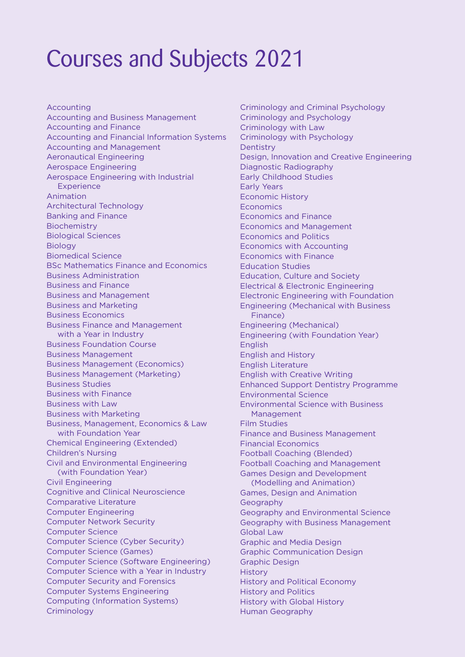# Courses and Subjects 2021

Accounting Accounting and Business Management Accounting and Finance Accounting and Financial Information Systems Accounting and Management Aeronautical Engineering Aerospace Engineering Aerospace Engineering with Industrial **Experience** Animation Architectural Technology Banking and Finance Biochemistry Biological Sciences **Biology** Biomedical Science BSc Mathematics Finance and Economics Business Administration Business and Finance Business and Management Business and Marketing Business Economics Business Finance and Management with a Year in Industry Business Foundation Course Business Management Business Management (Economics) Business Management (Marketing) Business Studies Business with Finance Business with Law Business with Marketing Business, Management, Economics & Law with Foundation Year Chemical Engineering (Extended) Children's Nursing Civil and Environmental Engineering (with Foundation Year) Civil Engineering Cognitive and Clinical Neuroscience Comparative Literature Computer Engineering Computer Network Security Computer Science Computer Science (Cyber Security) Computer Science (Games) Computer Science (Software Engineering) Computer Science with a Year in Industry Computer Security and Forensics Computer Systems Engineering Computing (Information Systems) **Criminology** 

Criminology and Criminal Psychology Criminology and Psychology Criminology with Law Criminology with Psychology **Dentistry** Design, Innovation and Creative Engineering Diagnostic Radiography Early Childhood Studies Early Years Economic History **Economics** Economics and Finance Economics and Management Economics and Politics Economics with Accounting Economics with Finance Education Studies Education, Culture and Society Electrical & Electronic Engineering Electronic Engineering with Foundation Engineering (Mechanical with Business Finance) Engineering (Mechanical) Engineering (with Foundation Year) English English and History English Literature English with Creative Writing Enhanced Support Dentistry Programme Environmental Science Environmental Science with Business Management Film Studies Finance and Business Management Financial Economics Football Coaching (Blended) Football Coaching and Management Games Design and Development (Modelling and Animation) Games, Design and Animation Geography Geography and Environmental Science Geography with Business Management Global Law Graphic and Media Design Graphic Communication Design Graphic Design History History and Political Economy History and Politics History with Global History Human Geography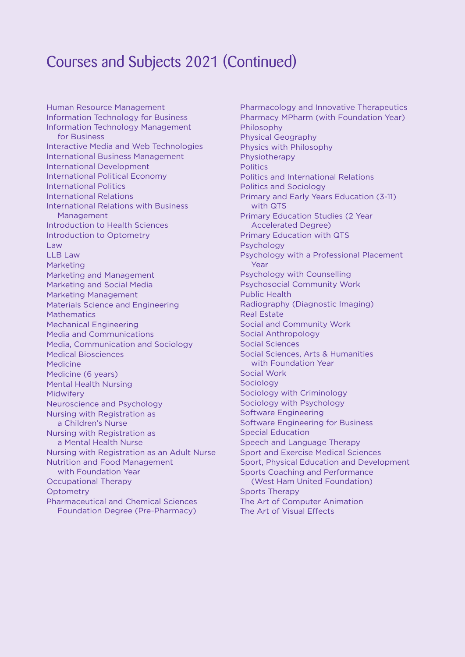### Courses and Subjects 2021 (Continued)

Human Resource Management Information Technology for Business Information Technology Management for Business Interactive Media and Web Technologies International Business Management International Development International Political Economy International Politics International Relations International Relations with Business Management Introduction to Health Sciences Introduction to Optometry Law LLB Law Marketing Marketing and Management Marketing and Social Media Marketing Management Materials Science and Engineering **Mathematics** Mechanical Engineering Media and Communications Media, Communication and Sociology Medical Biosciences Medicine Medicine (6 years) Mental Health Nursing Midwifery Neuroscience and Psychology Nursing with Registration as a Children's Nurse Nursing with Registration as a Mental Health Nurse Nursing with Registration as an Adult Nurse Nutrition and Food Management with Foundation Year Occupational Therapy **Optometry** Pharmaceutical and Chemical Sciences Foundation Degree (Pre-Pharmacy)

Pharmacology and Innovative Therapeutics Pharmacy MPharm (with Foundation Year) Philosophy Physical Geography Physics with Philosophy Physiotherapy **Politics** Politics and International Relations Politics and Sociology Primary and Early Years Education (3-11) with QTS Primary Education Studies (2 Year Accelerated Degree) Primary Education with QTS Psychology Psychology with a Professional Placement Year Psychology with Counselling Psychosocial Community Work Public Health Radiography (Diagnostic Imaging) Real Estate Social and Community Work Social Anthropology Social Sciences Social Sciences, Arts & Humanities with Foundation Year Social Work Sociology Sociology with Criminology Sociology with Psychology Software Engineering Software Engineering for Business Special Education Speech and Language Therapy Sport and Exercise Medical Sciences Sport, Physical Education and Development Sports Coaching and Performance (West Ham United Foundation) Sports Therapy The Art of Computer Animation The Art of Visual Effects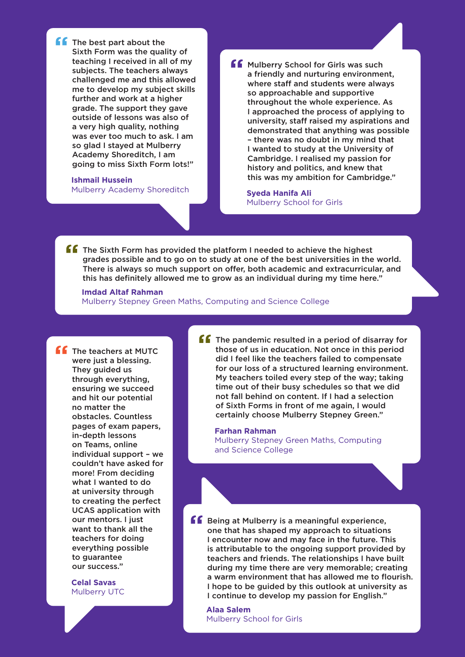**f**f The best part about the Sixth Form was the quality of teaching I received in all of my subjects. The teachers always challenged me and this allowed me to develop my subject skills further and work at a higher grade. The support they gave outside of lessons was also of a very high quality, nothing was ever too much to ask. I am so glad I stayed at Mulberry Academy Shoreditch, I am going to miss Sixth Form lots!"

### **Ishmail Hussein**

Mulberry Academy Shoreditch

**ff** Mulberry School for Girls was such a friendly and nurturing environment, where staff and students were always so approachable and supportive throughout the whole experience. As I approached the process of applying to university, staff raised my aspirations and demonstrated that anything was possible – there was no doubt in my mind that I wanted to study at the University of Cambridge. I realised my passion for history and politics, and knew that this was my ambition for Cambridge."

**Syeda Hanifa Ali** Mulberry School for Girls

**ff** The Sixth Form has provided the platform I needed to achieve the highest grades possible and to go on to study at one of the best universities in the world. There is always so much support on offer, both academic and extracurricular, and this has definitely allowed me to grow as an individual during my time here."

**Imdad Altaf Rahman** Mulberry Stepney Green Maths, Computing and Science College

**f** The teachers at MUTC were just a blessing. They guided us through everything, ensuring we succeed and hit our potential no matter the obstacles. Countless pages of exam papers, in-depth lessons on Teams, online individual support – we couldn't have asked for more! From deciding what I wanted to do at university through to creating the perfect UCAS application with our mentors. I just want to thank all the teachers for doing everything possible to guarantee our success."

> **Celal Savas** Mulberry UTC

**ff** The pandemic resulted in a period of disarray for those of us in education. Not once in this period did I feel like the teachers failed to compensate for our loss of a structured learning environment. My teachers toiled every step of the way; taking time out of their busy schedules so that we did not fall behind on content. If I had a selection of Sixth Forms in front of me again, I would certainly choose Mulberry Stepney Green."

**Farhan Rahman** Mulberry Stepney Green Maths, Computing and Science College

**ff** Being at Mulberry is a meaningful experience, one that has shaped my approach to situations I encounter now and may face in the future. This is attributable to the ongoing support provided by teachers and friends. The relationships I have built during my time there are very memorable; creating a warm environment that has allowed me to flourish. I hope to be guided by this outlook at university as I continue to develop my passion for English."

**Alaa Salem** Mulberry School for Girls